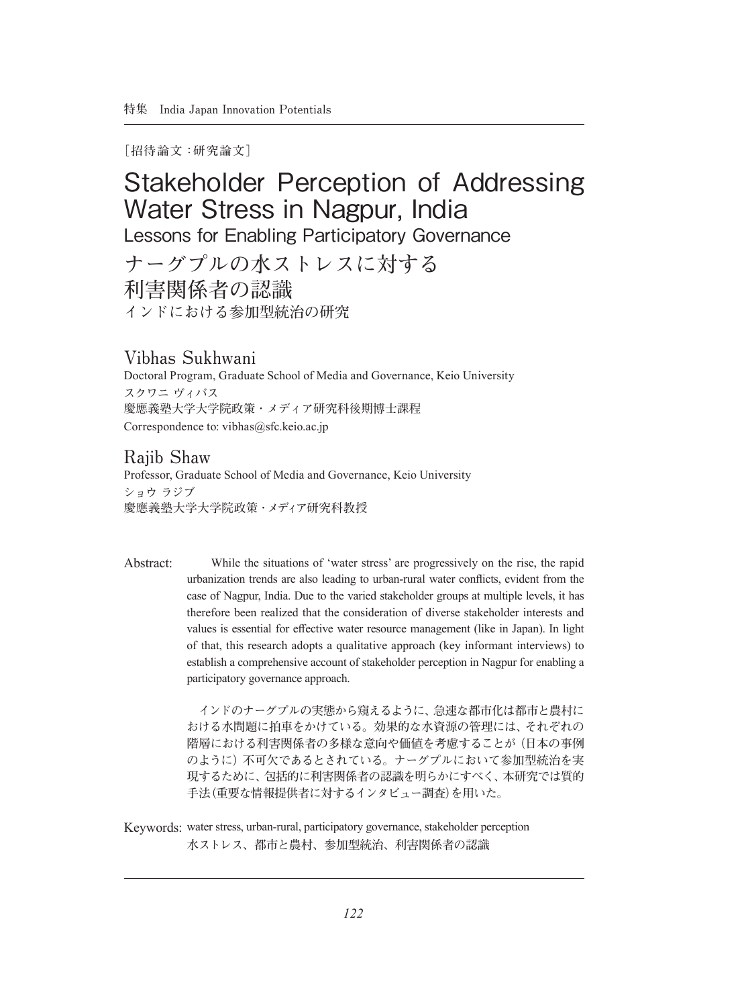**[招待論文:研究論文]**

# Stakeholder Perception of Addressing Water Stress in Nagpur, India Lessons for Enabling Participatory Governance **ナーグプルの水ストレスに対する 利害関係者の認識 インドにおける参加型統治の研究**

# **Vibhas Sukhwani**

Doctoral Program, Graduate School of Media and Governance, Keio University **スクワニ ヴィバス 慶應義塾大学大学院政策・メディア研究科後期博士課程** Correspondence to: vibhas@sfc.keio.ac.jp

# **Rajib Shaw**

Professor, Graduate School of Media and Governance, Keio University **ショウ ラジブ 慶應義塾大学大学院政策・メディア研究科教授**

 While the situations of 'water stress' are progressively on the rise, the rapid urbanization trends are also leading to urban-rural water conflicts, evident from the case of Nagpur, India. Due to the varied stakeholder groups at multiple levels, it has therefore been realized that the consideration of diverse stakeholder interests and values is essential for effective water resource management (like in Japan). In light of that, this research adopts a qualitative approach (key informant interviews) to establish a comprehensive account of stakeholder perception in Nagpur for enabling a participatory governance approach. Abstract:

> **インドのナーグプルの実態から窺えるように、急速な都市化は都市と農村に おける水問題に拍車をかけている。効果的な水資源の管理には、それぞれの 階層における利害関係者の多様な意向や価値を考慮することが(日本の事例 のように)不可欠であるとされている。ナーグプルにおいて参加型統治を実 現するために、包括的に利害関係者の認識を明らかにすべく、本研究では質的 手法(重要な情報提供者に対するインタビュー調査)を用いた。**

Keywords: water stress, urban-rural, participatory governance, stakeholder perception **水ストレス、都市と農村、参加型統治、利害関係者の認識**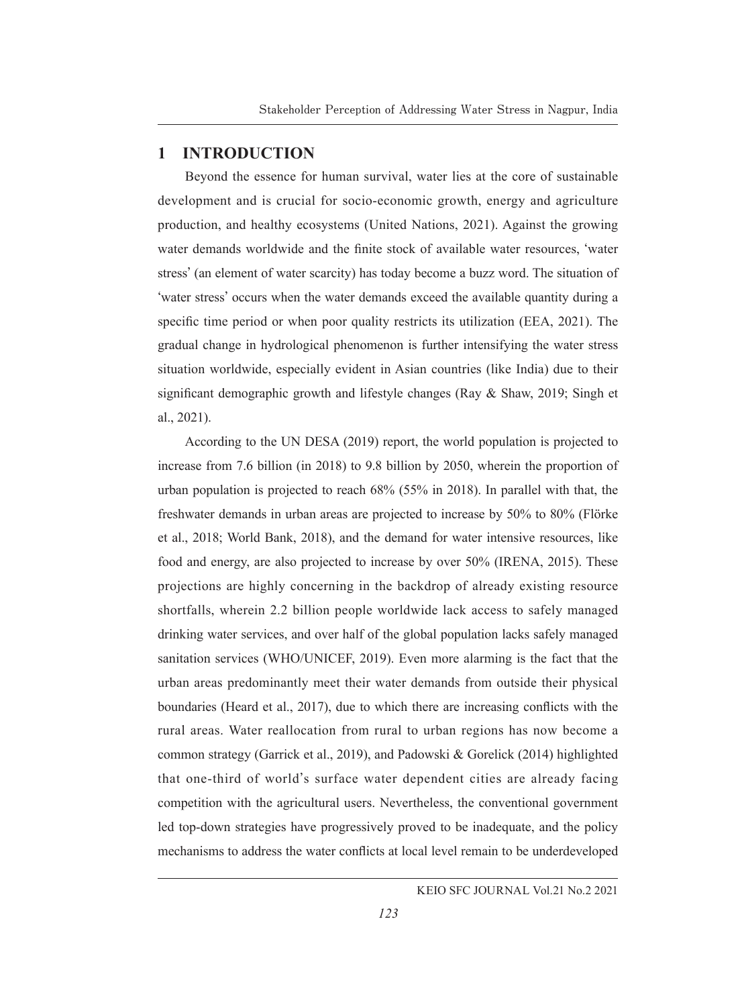# **1 INTRODUCTION**

Beyond the essence for human survival, water lies at the core of sustainable development and is crucial for socio-economic growth, energy and agriculture production, and healthy ecosystems (United Nations, 2021). Against the growing water demands worldwide and the finite stock of available water resources, **ʻ**water stress**'** (an element of water scarcity) has today become a buzz word. The situation of **ʻ**water stress**'** occurs when the water demands exceed the available quantity during a specific time period or when poor quality restricts its utilization (EEA, 2021). The gradual change in hydrological phenomenon is further intensifying the water stress situation worldwide, especially evident in Asian countries (like India) due to their significant demographic growth and lifestyle changes (Ray & Shaw, 2019; Singh et al., 2021).

According to the UN DESA (2019) report, the world population is projected to increase from 7.6 billion (in 2018) to 9.8 billion by 2050, wherein the proportion of urban population is projected to reach 68% (55% in 2018). In parallel with that, the freshwater demands in urban areas are projected to increase by 50% to 80% (Flörke et al., 2018; World Bank, 2018), and the demand for water intensive resources, like food and energy, are also projected to increase by over 50% (IRENA, 2015). These projections are highly concerning in the backdrop of already existing resource shortfalls, wherein 2.2 billion people worldwide lack access to safely managed drinking water services, and over half of the global population lacks safely managed sanitation services (WHO/UNICEF, 2019). Even more alarming is the fact that the urban areas predominantly meet their water demands from outside their physical boundaries (Heard et al., 2017), due to which there are increasing conflicts with the rural areas. Water reallocation from rural to urban regions has now become a common strategy (Garrick et al., 2019), and Padowski & Gorelick (2014) highlighted that one-third of world**'**s surface water dependent cities are already facing competition with the agricultural users. Nevertheless, the conventional government led top-down strategies have progressively proved to be inadequate, and the policy mechanisms to address the water conflicts at local level remain to be underdeveloped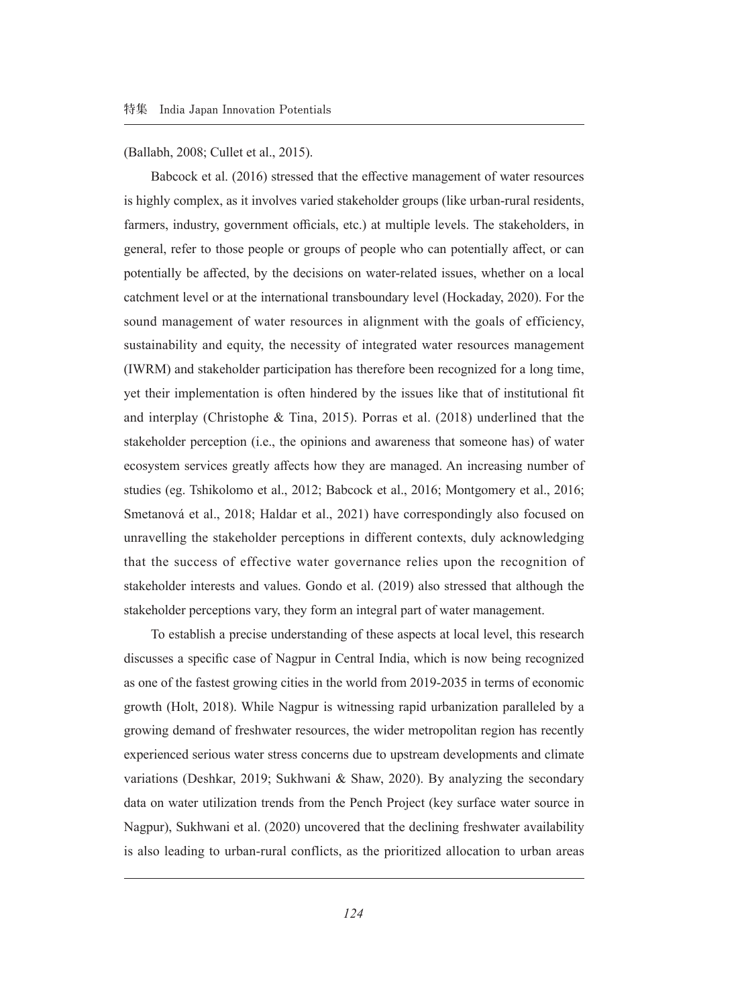(Ballabh, 2008; Cullet et al., 2015).

Babcock et al. (2016) stressed that the effective management of water resources is highly complex, as it involves varied stakeholder groups (like urban-rural residents, farmers, industry, government officials, etc.) at multiple levels. The stakeholders, in general, refer to those people or groups of people who can potentially affect, or can potentially be affected, by the decisions on water-related issues, whether on a local catchment level or at the international transboundary level (Hockaday, 2020). For the sound management of water resources in alignment with the goals of efficiency, sustainability and equity, the necessity of integrated water resources management (IWRM) and stakeholder participation has therefore been recognized for a long time, yet their implementation is often hindered by the issues like that of institutional fit and interplay (Christophe & Tina, 2015). Porras et al. (2018) underlined that the stakeholder perception (i.e., the opinions and awareness that someone has) of water ecosystem services greatly affects how they are managed. An increasing number of studies (eg. Tshikolomo et al., 2012; Babcock et al., 2016; Montgomery et al., 2016; Smetanová et al., 2018; Haldar et al., 2021) have correspondingly also focused on unravelling the stakeholder perceptions in different contexts, duly acknowledging that the success of effective water governance relies upon the recognition of stakeholder interests and values. Gondo et al. (2019) also stressed that although the stakeholder perceptions vary, they form an integral part of water management.

To establish a precise understanding of these aspects at local level, this research discusses a specific case of Nagpur in Central India, which is now being recognized as one of the fastest growing cities in the world from 2019-2035 in terms of economic growth (Holt, 2018). While Nagpur is witnessing rapid urbanization paralleled by a growing demand of freshwater resources, the wider metropolitan region has recently experienced serious water stress concerns due to upstream developments and climate variations (Deshkar, 2019; Sukhwani & Shaw, 2020). By analyzing the secondary data on water utilization trends from the Pench Project (key surface water source in Nagpur), Sukhwani et al. (2020) uncovered that the declining freshwater availability is also leading to urban-rural conflicts, as the prioritized allocation to urban areas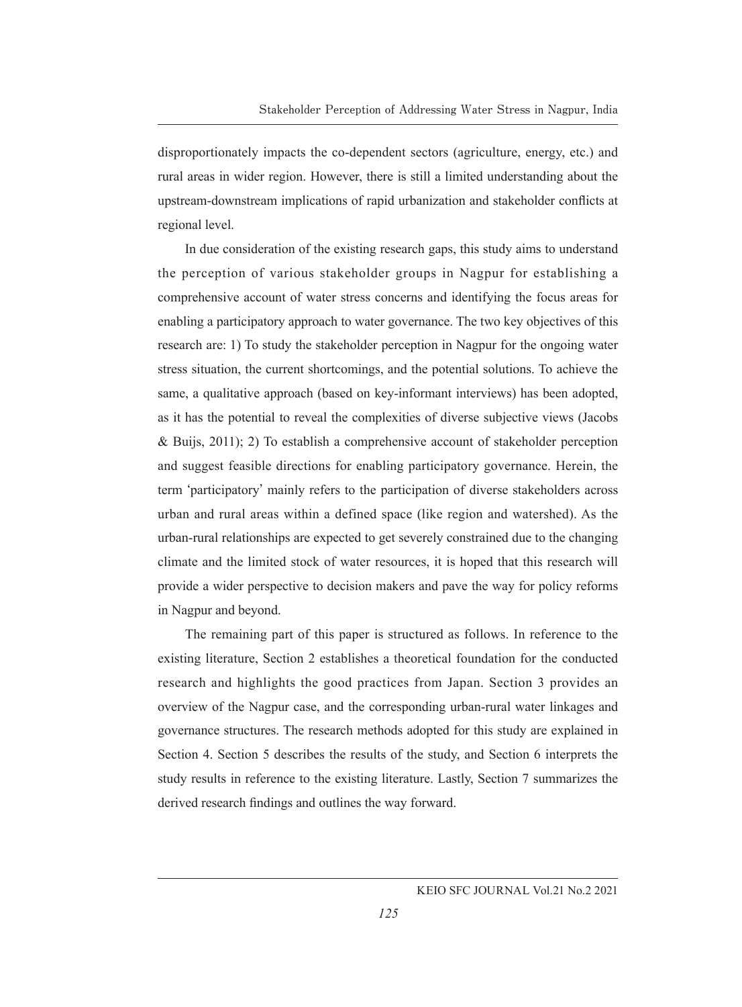disproportionately impacts the co-dependent sectors (agriculture, energy, etc.) and rural areas in wider region. However, there is still a limited understanding about the upstream-downstream implications of rapid urbanization and stakeholder conflicts at regional level.

In due consideration of the existing research gaps, this study aims to understand the perception of various stakeholder groups in Nagpur for establishing a comprehensive account of water stress concerns and identifying the focus areas for enabling a participatory approach to water governance. The two key objectives of this research are: 1) To study the stakeholder perception in Nagpur for the ongoing water stress situation, the current shortcomings, and the potential solutions. To achieve the same, a qualitative approach (based on key-informant interviews) has been adopted, as it has the potential to reveal the complexities of diverse subjective views (Jacobs & Buijs, 2011); 2) To establish a comprehensive account of stakeholder perception and suggest feasible directions for enabling participatory governance. Herein, the term **ʻ**participatory**'** mainly refers to the participation of diverse stakeholders across urban and rural areas within a defined space (like region and watershed). As the urban-rural relationships are expected to get severely constrained due to the changing climate and the limited stock of water resources, it is hoped that this research will provide a wider perspective to decision makers and pave the way for policy reforms in Nagpur and beyond.

The remaining part of this paper is structured as follows. In reference to the existing literature, Section 2 establishes a theoretical foundation for the conducted research and highlights the good practices from Japan. Section 3 provides an overview of the Nagpur case, and the corresponding urban-rural water linkages and governance structures. The research methods adopted for this study are explained in Section 4. Section 5 describes the results of the study, and Section 6 interprets the study results in reference to the existing literature. Lastly, Section 7 summarizes the derived research findings and outlines the way forward.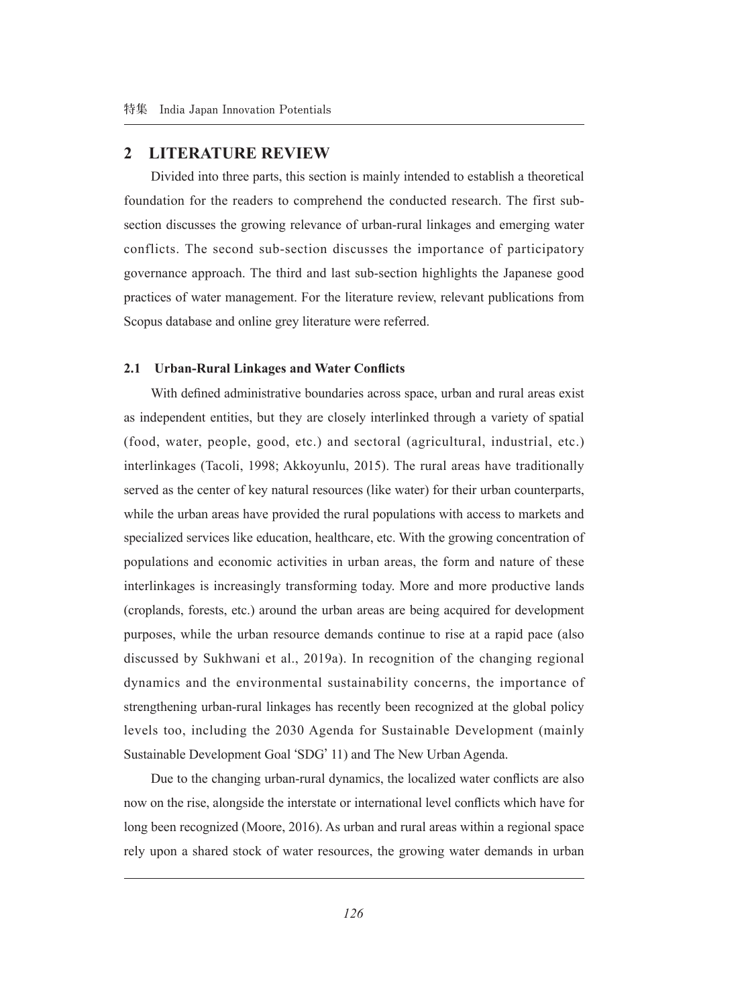### **2 LITERATURE REVIEW**

Divided into three parts, this section is mainly intended to establish a theoretical foundation for the readers to comprehend the conducted research. The first subsection discusses the growing relevance of urban-rural linkages and emerging water conflicts. The second sub-section discusses the importance of participatory governance approach. The third and last sub-section highlights the Japanese good practices of water management. For the literature review, relevant publications from Scopus database and online grey literature were referred.

#### **2.1 Urban-Rural Linkages and Water Conflicts**

With defined administrative boundaries across space, urban and rural areas exist as independent entities, but they are closely interlinked through a variety of spatial (food, water, people, good, etc.) and sectoral (agricultural, industrial, etc.) interlinkages (Tacoli, 1998; Akkoyunlu, 2015). The rural areas have traditionally served as the center of key natural resources (like water) for their urban counterparts, while the urban areas have provided the rural populations with access to markets and specialized services like education, healthcare, etc. With the growing concentration of populations and economic activities in urban areas, the form and nature of these interlinkages is increasingly transforming today. More and more productive lands (croplands, forests, etc.) around the urban areas are being acquired for development purposes, while the urban resource demands continue to rise at a rapid pace (also discussed by Sukhwani et al., 2019a). In recognition of the changing regional dynamics and the environmental sustainability concerns, the importance of strengthening urban-rural linkages has recently been recognized at the global policy levels too, including the 2030 Agenda for Sustainable Development (mainly Sustainable Development Goal **ʻ**SDG**'** 11) and The New Urban Agenda.

Due to the changing urban-rural dynamics, the localized water conflicts are also now on the rise, alongside the interstate or international level conflicts which have for long been recognized (Moore, 2016). As urban and rural areas within a regional space rely upon a shared stock of water resources, the growing water demands in urban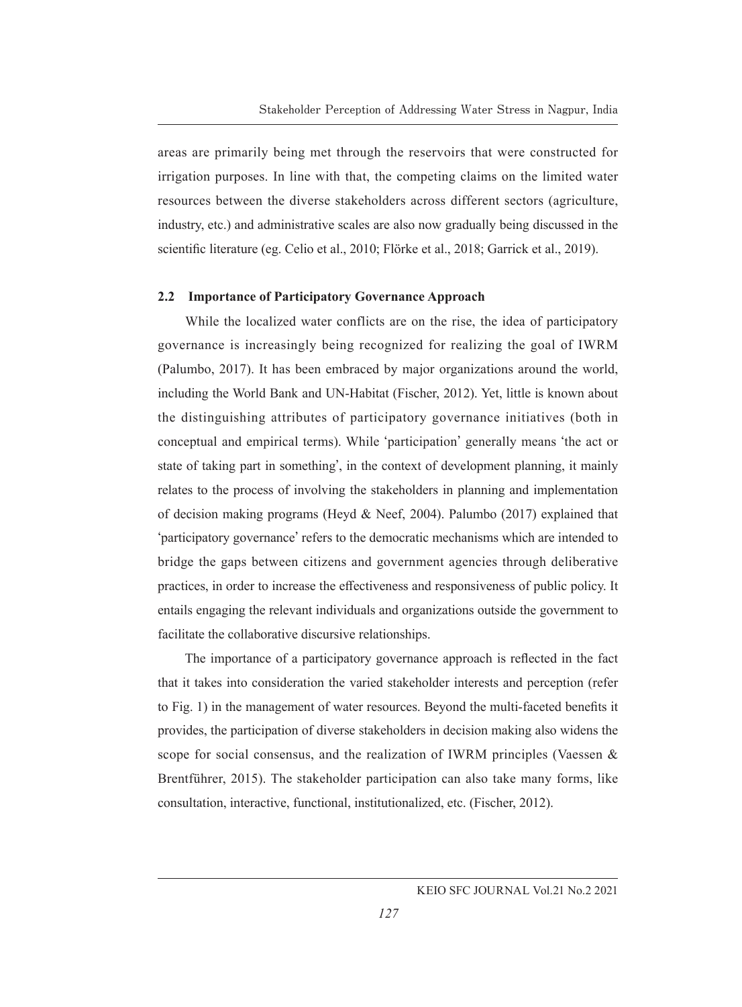areas are primarily being met through the reservoirs that were constructed for irrigation purposes. In line with that, the competing claims on the limited water resources between the diverse stakeholders across different sectors (agriculture, industry, etc.) and administrative scales are also now gradually being discussed in the scientific literature (eg. Celio et al., 2010; Flörke et al., 2018; Garrick et al., 2019).

### **2.2 Importance of Participatory Governance Approach**

While the localized water conflicts are on the rise, the idea of participatory governance is increasingly being recognized for realizing the goal of IWRM (Palumbo, 2017). It has been embraced by major organizations around the world, including the World Bank and UN-Habitat (Fischer, 2012). Yet, little is known about the distinguishing attributes of participatory governance initiatives (both in conceptual and empirical terms). While **ʻ**participation**'** generally means **ʻ**the act or state of taking part in something**'**, in the context of development planning, it mainly relates to the process of involving the stakeholders in planning and implementation of decision making programs (Heyd & Neef, 2004). Palumbo (2017) explained that **ʻ**participatory governance**'** refers to the democratic mechanisms which are intended to bridge the gaps between citizens and government agencies through deliberative practices, in order to increase the effectiveness and responsiveness of public policy. It entails engaging the relevant individuals and organizations outside the government to facilitate the collaborative discursive relationships.

The importance of a participatory governance approach is reflected in the fact that it takes into consideration the varied stakeholder interests and perception (refer to Fig. 1) in the management of water resources. Beyond the multi-faceted benefits it provides, the participation of diverse stakeholders in decision making also widens the scope for social consensus, and the realization of IWRM principles (Vaessen & Brentführer, 2015). The stakeholder participation can also take many forms, like consultation, interactive, functional, institutionalized, etc. (Fischer, 2012).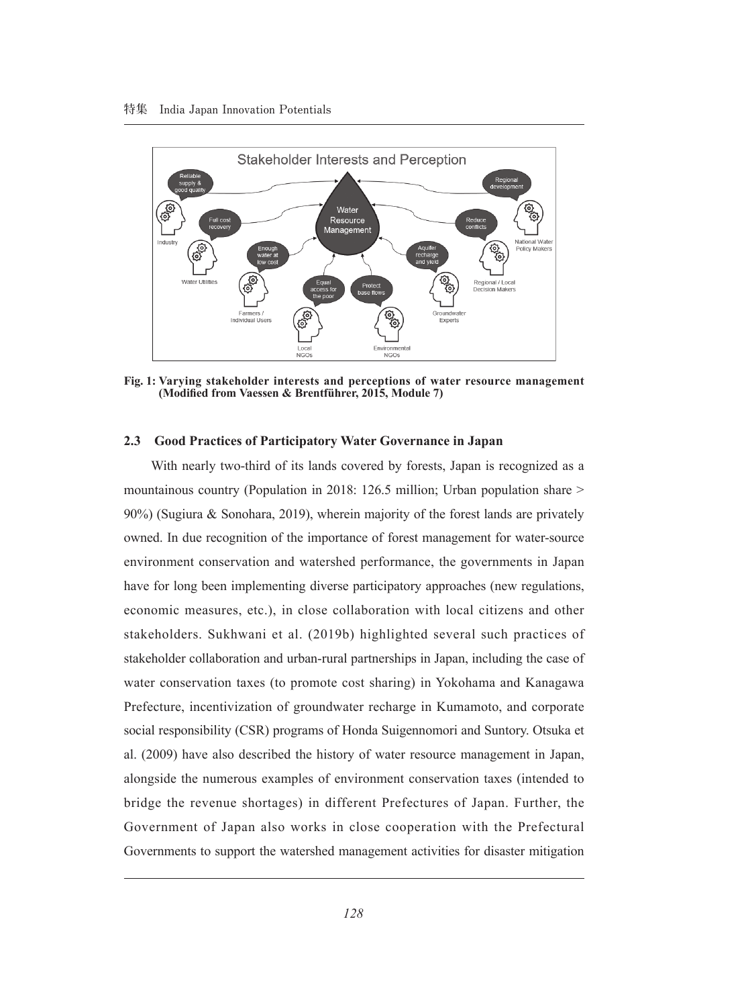

**Fig. 1: Varying stakeholder interests and perceptions of water resource management (Modified from Vaessen & Brentführer, 2015, Module 7)**

#### **2.3 Good Practices of Participatory Water Governance in Japan**

With nearly two-third of its lands covered by forests, Japan is recognized as a mountainous country (Population in 2018: 126.5 million; Urban population share > 90%) (Sugiura & Sonohara, 2019), wherein majority of the forest lands are privately owned. In due recognition of the importance of forest management for water-source environment conservation and watershed performance, the governments in Japan have for long been implementing diverse participatory approaches (new regulations, economic measures, etc.), in close collaboration with local citizens and other stakeholders. Sukhwani et al. (2019b) highlighted several such practices of stakeholder collaboration and urban-rural partnerships in Japan, including the case of water conservation taxes (to promote cost sharing) in Yokohama and Kanagawa Prefecture, incentivization of groundwater recharge in Kumamoto, and corporate social responsibility (CSR) programs of Honda Suigennomori and Suntory. Otsuka et al. (2009) have also described the history of water resource management in Japan, alongside the numerous examples of environment conservation taxes (intended to bridge the revenue shortages) in different Prefectures of Japan. Further, the Government of Japan also works in close cooperation with the Prefectural Governments to support the watershed management activities for disaster mitigation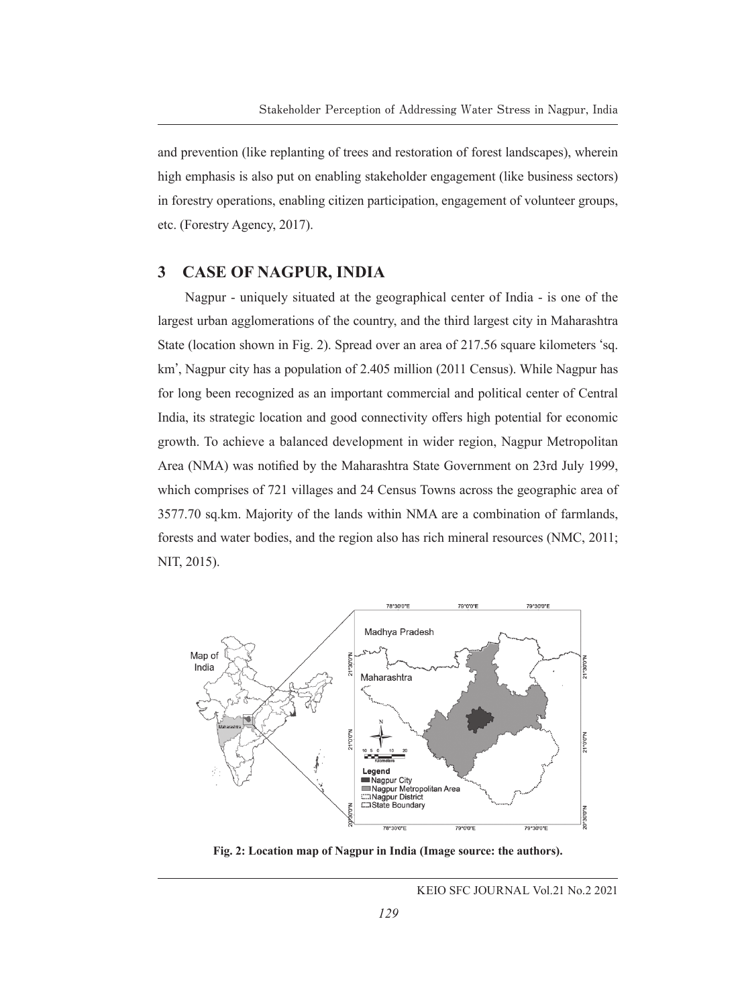and prevention (like replanting of trees and restoration of forest landscapes), wherein high emphasis is also put on enabling stakeholder engagement (like business sectors) in forestry operations, enabling citizen participation, engagement of volunteer groups, etc. (Forestry Agency, 2017).

### **3 CASE OF NAGPUR, INDIA**

Nagpur - uniquely situated at the geographical center of India - is one of the largest urban agglomerations of the country, and the third largest city in Maharashtra State (location shown in Fig. 2). Spread over an area of 217.56 square kilometers **ʻ**sq. km**'**, Nagpur city has a population of 2.405 million (2011 Census). While Nagpur has for long been recognized as an important commercial and political center of Central India, its strategic location and good connectivity offers high potential for economic growth. To achieve a balanced development in wider region, Nagpur Metropolitan Area (NMA) was notified by the Maharashtra State Government on 23rd July 1999, which comprises of 721 villages and 24 Census Towns across the geographic area of 3577.70 sq.km. Majority of the lands within NMA are a combination of farmlands, forests and water bodies, and the region also has rich mineral resources (NMC, 2011; NIT, 2015).



**Fig. 2: Location map of Nagpur in India (Image source: the authors).**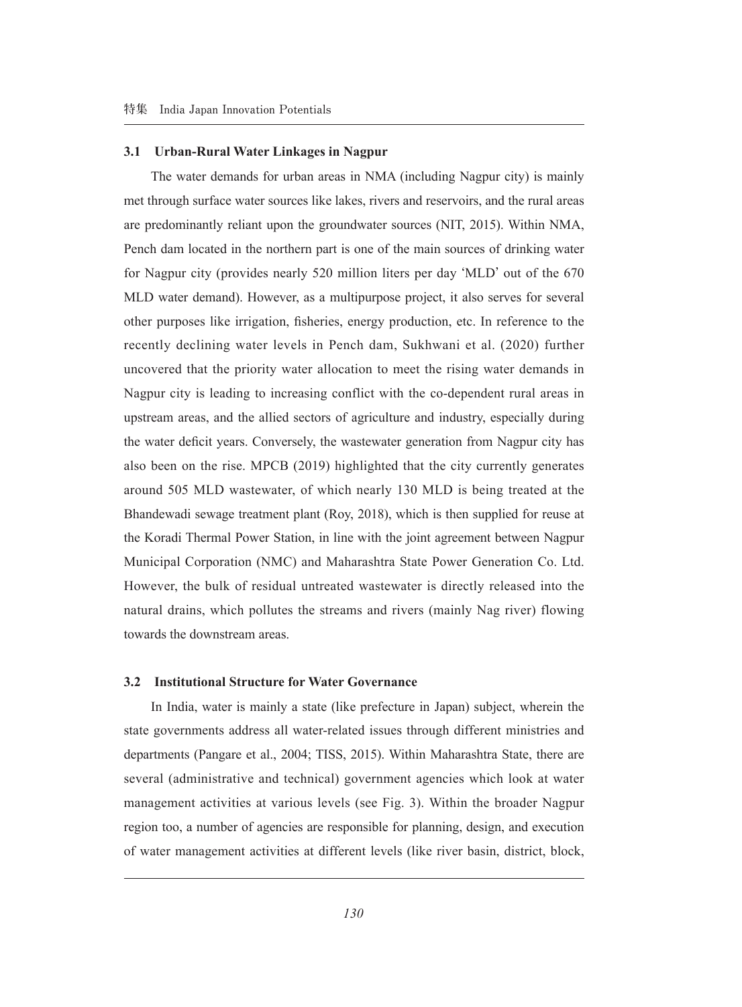#### **3.1 Urban-Rural Water Linkages in Nagpur**

The water demands for urban areas in NMA (including Nagpur city) is mainly met through surface water sources like lakes, rivers and reservoirs, and the rural areas are predominantly reliant upon the groundwater sources (NIT, 2015). Within NMA, Pench dam located in the northern part is one of the main sources of drinking water for Nagpur city (provides nearly 520 million liters per day **ʻ**MLD**'** out of the 670 MLD water demand). However, as a multipurpose project, it also serves for several other purposes like irrigation, fisheries, energy production, etc. In reference to the recently declining water levels in Pench dam, Sukhwani et al. (2020) further uncovered that the priority water allocation to meet the rising water demands in Nagpur city is leading to increasing conflict with the co-dependent rural areas in upstream areas, and the allied sectors of agriculture and industry, especially during the water deficit years. Conversely, the wastewater generation from Nagpur city has also been on the rise. MPCB (2019) highlighted that the city currently generates around 505 MLD wastewater, of which nearly 130 MLD is being treated at the Bhandewadi sewage treatment plant (Roy, 2018), which is then supplied for reuse at the Koradi Thermal Power Station, in line with the joint agreement between Nagpur Municipal Corporation (NMC) and Maharashtra State Power Generation Co. Ltd. However, the bulk of residual untreated wastewater is directly released into the natural drains, which pollutes the streams and rivers (mainly Nag river) flowing towards the downstream areas.

### **3.2 Institutional Structure for Water Governance**

In India, water is mainly a state (like prefecture in Japan) subject, wherein the state governments address all water-related issues through different ministries and departments (Pangare et al., 2004; TISS, 2015). Within Maharashtra State, there are several (administrative and technical) government agencies which look at water management activities at various levels (see Fig. 3). Within the broader Nagpur region too, a number of agencies are responsible for planning, design, and execution of water management activities at different levels (like river basin, district, block,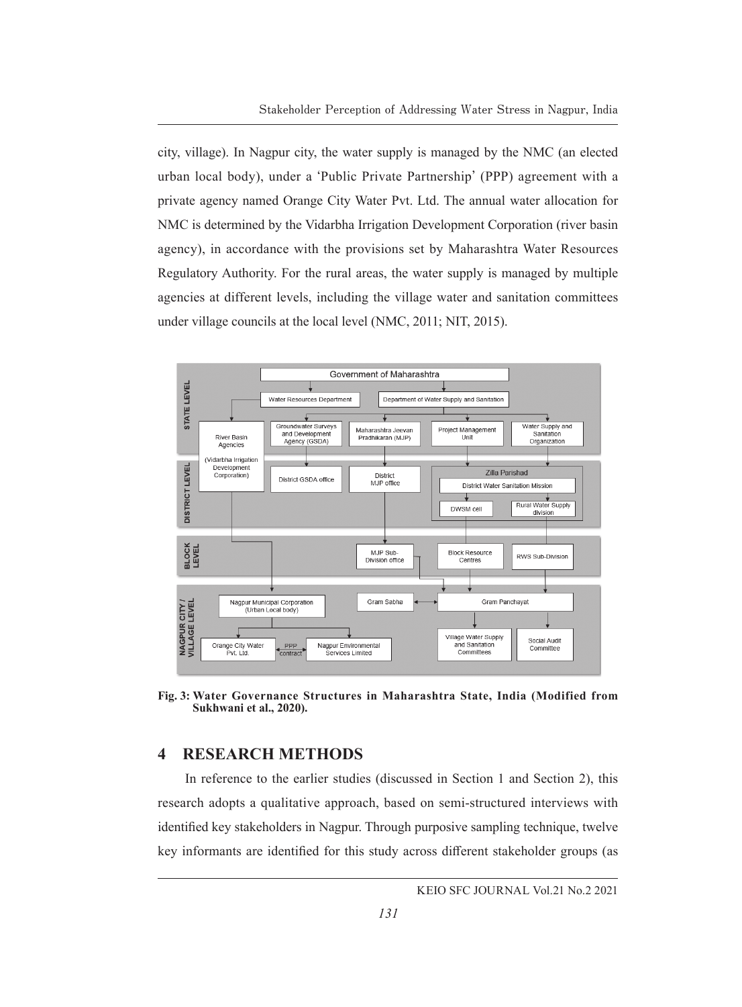city, village). In Nagpur city, the water supply is managed by the NMC (an elected urban local body), under a **ʻ**Public Private Partnership**'** (PPP) agreement with a private agency named Orange City Water Pvt. Ltd. The annual water allocation for NMC is determined by the Vidarbha Irrigation Development Corporation (river basin agency), in accordance with the provisions set by Maharashtra Water Resources Regulatory Authority. For the rural areas, the water supply is managed by multiple agencies at different levels, including the village water and sanitation committees under village councils at the local level (NMC, 2011; NIT, 2015).



**Fig. 3: Water Governance Structures in Maharashtra State, India (Modified from Sukhwani et al., 2020).**

### **4 RESEARCH METHODS**

In reference to the earlier studies (discussed in Section 1 and Section 2), this research adopts a qualitative approach, based on semi-structured interviews with identified key stakeholders in Nagpur. Through purposive sampling technique, twelve key informants are identified for this study across different stakeholder groups (as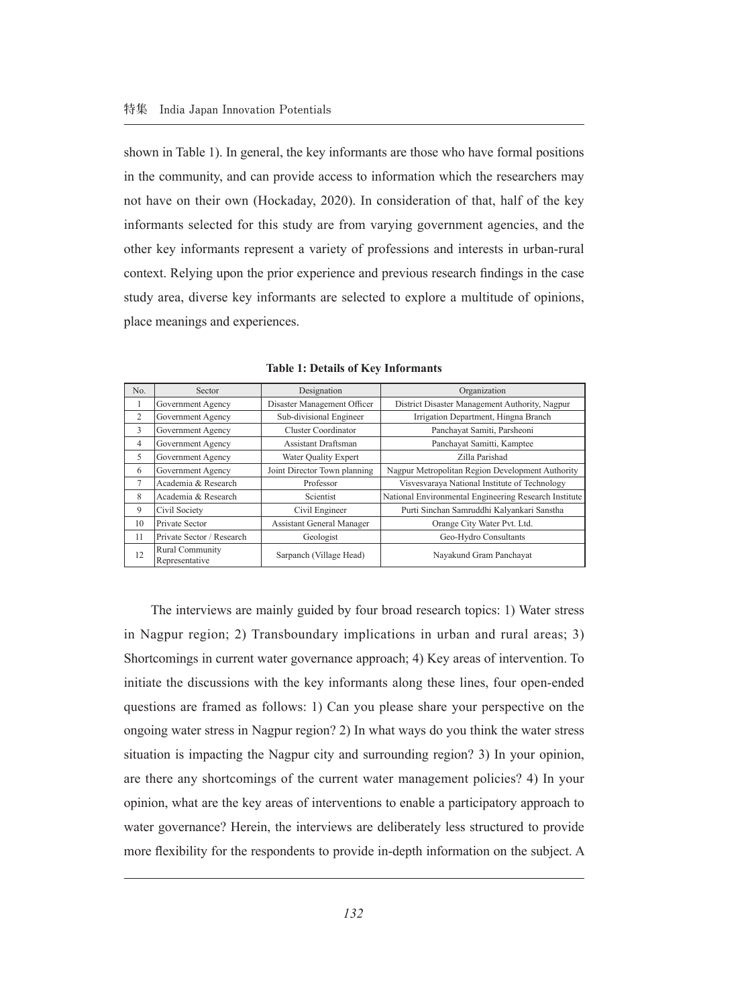shown in Table 1). In general, the key informants are those who have formal positions in the community, and can provide access to information which the researchers may not have on their own (Hockaday, 2020). In consideration of that, half of the key informants selected for this study are from varying government agencies, and the other key informants represent a variety of professions and interests in urban-rural context. Relying upon the prior experience and previous research findings in the case study area, diverse key informants are selected to explore a multitude of opinions, place meanings and experiences.

| No.            | Sector                            | Designation                  | Organization                                          |
|----------------|-----------------------------------|------------------------------|-------------------------------------------------------|
|                | Government Agency                 | Disaster Management Officer  | District Disaster Management Authority, Nagpur        |
| 2              | Government Agency                 | Sub-divisional Engineer      | Irrigation Department, Hingna Branch                  |
| 3              | Government Agency                 | Cluster Coordinator          | Panchayat Samiti, Parsheoni                           |
| $\overline{4}$ | Government Agency                 | Assistant Draftsman          | Panchayat Samitti, Kamptee                            |
| 5              | Government Agency                 | Water Quality Expert         | Zilla Parishad                                        |
| 6              | Government Agency                 | Joint Director Town planning | Nagpur Metropolitan Region Development Authority      |
| $\overline{7}$ | Academia & Research               | Professor                    | Visvesvaraya National Institute of Technology         |
| 8              | Academia & Research               | Scientist                    | National Environmental Engineering Research Institute |
| 9              | Civil Society                     | Civil Engineer               | Purti Sinchan Samruddhi Kalyankari Sanstha            |
| 10             | Private Sector                    | Assistant General Manager    | Orange City Water Pvt. Ltd.                           |
| 11             | Private Sector / Research         | Geologist                    | Geo-Hydro Consultants                                 |
| 12             | Rural Community<br>Representative | Sarpanch (Village Head)      | Nayakund Gram Panchayat                               |

**Table 1: Details of Key Informants**

The interviews are mainly guided by four broad research topics: 1) Water stress in Nagpur region; 2) Transboundary implications in urban and rural areas; 3) Shortcomings in current water governance approach; 4) Key areas of intervention. To initiate the discussions with the key informants along these lines, four open-ended questions are framed as follows: 1) Can you please share your perspective on the ongoing water stress in Nagpur region? 2) In what ways do you think the water stress situation is impacting the Nagpur city and surrounding region? 3) In your opinion, are there any shortcomings of the current water management policies? 4) In your opinion, what are the key areas of interventions to enable a participatory approach to water governance? Herein, the interviews are deliberately less structured to provide more flexibility for the respondents to provide in-depth information on the subject. A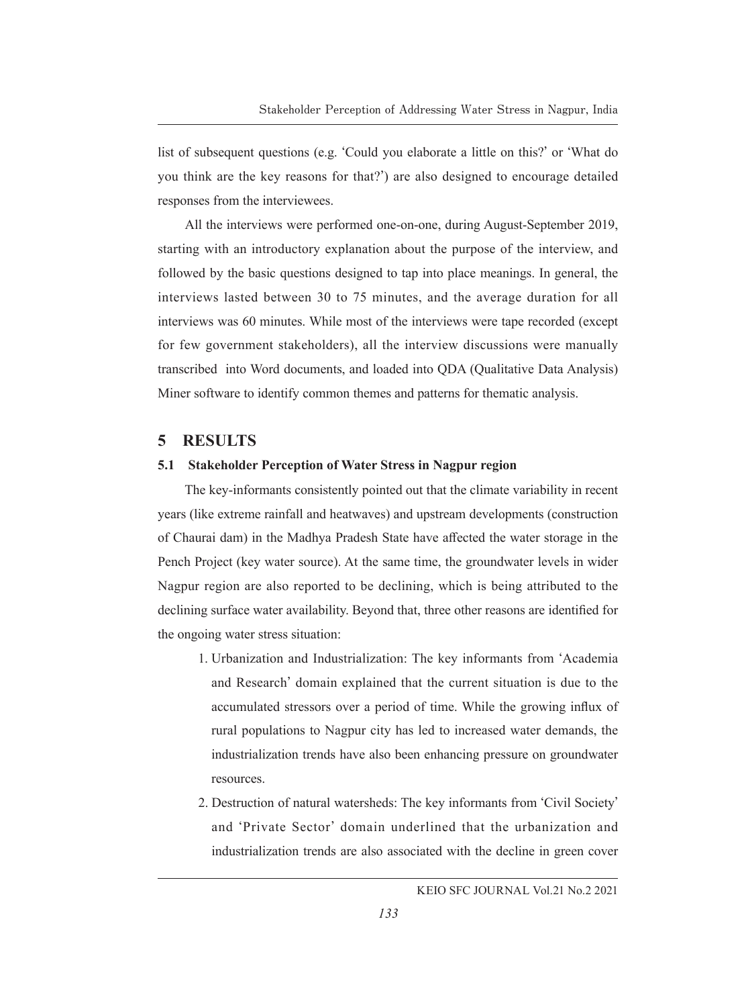list of subsequent questions (e.g. **ʻ**Could you elaborate a little on this?**'** or **ʻ**What do you think are the key reasons for that?**'**) are also designed to encourage detailed responses from the interviewees.

All the interviews were performed one-on-one, during August-September 2019, starting with an introductory explanation about the purpose of the interview, and followed by the basic questions designed to tap into place meanings. In general, the interviews lasted between 30 to 75 minutes, and the average duration for all interviews was 60 minutes. While most of the interviews were tape recorded (except for few government stakeholders), all the interview discussions were manually transcribed into Word documents, and loaded into QDA (Qualitative Data Analysis) Miner software to identify common themes and patterns for thematic analysis.

### **5 RESULTS**

### **5.1 Stakeholder Perception of Water Stress in Nagpur region**

The key-informants consistently pointed out that the climate variability in recent years (like extreme rainfall and heatwaves) and upstream developments (construction of Chaurai dam) in the Madhya Pradesh State have affected the water storage in the Pench Project (key water source). At the same time, the groundwater levels in wider Nagpur region are also reported to be declining, which is being attributed to the declining surface water availability. Beyond that, three other reasons are identified for the ongoing water stress situation:

- 1. Urbanization and Industrialization: The key informants from **ʻ**Academia and Research**'** domain explained that the current situation is due to the accumulated stressors over a period of time. While the growing influx of rural populations to Nagpur city has led to increased water demands, the industrialization trends have also been enhancing pressure on groundwater resources.
- 2. Destruction of natural watersheds: The key informants from **ʻ**Civil Society**'** and **ʻ**Private Sector**'** domain underlined that the urbanization and industrialization trends are also associated with the decline in green cover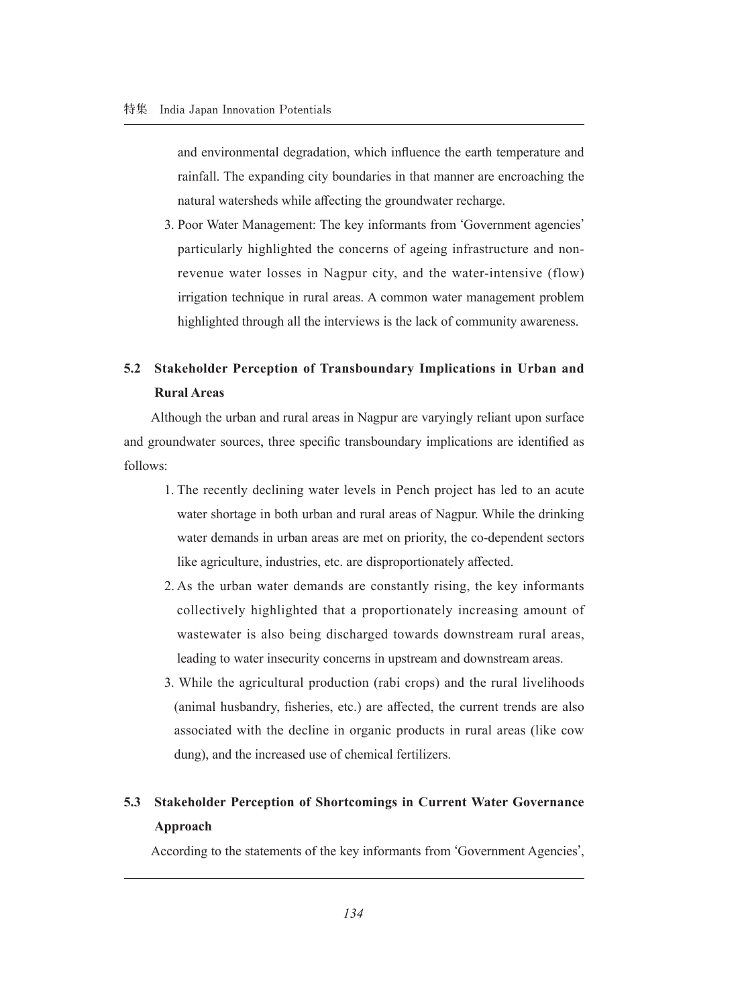and environmental degradation, which influence the earth temperature and rainfall. The expanding city boundaries in that manner are encroaching the natural watersheds while affecting the groundwater recharge.

3. Poor Water Management: The key informants from **ʻ**Government agencies**'** particularly highlighted the concerns of ageing infrastructure and nonrevenue water losses in Nagpur city, and the water-intensive (flow) irrigation technique in rural areas. A common water management problem highlighted through all the interviews is the lack of community awareness.

# **5.2 Stakeholder Perception of Transboundary Implications in Urban and Rural Areas**

Although the urban and rural areas in Nagpur are varyingly reliant upon surface and groundwater sources, three specific transboundary implications are identified as follows:

- 1. The recently declining water levels in Pench project has led to an acute water shortage in both urban and rural areas of Nagpur. While the drinking water demands in urban areas are met on priority, the co-dependent sectors like agriculture, industries, etc. are disproportionately affected.
- 2. As the urban water demands are constantly rising, the key informants collectively highlighted that a proportionately increasing amount of wastewater is also being discharged towards downstream rural areas, leading to water insecurity concerns in upstream and downstream areas.
- 3. While the agricultural production (rabi crops) and the rural livelihoods (animal husbandry, fisheries, etc.) are affected, the current trends are also associated with the decline in organic products in rural areas (like cow dung), and the increased use of chemical fertilizers.

## **5.3 Stakeholder Perception of Shortcomings in Current Water Governance Approach**

According to the statements of the key informants from **ʻ**Government Agencies**'**,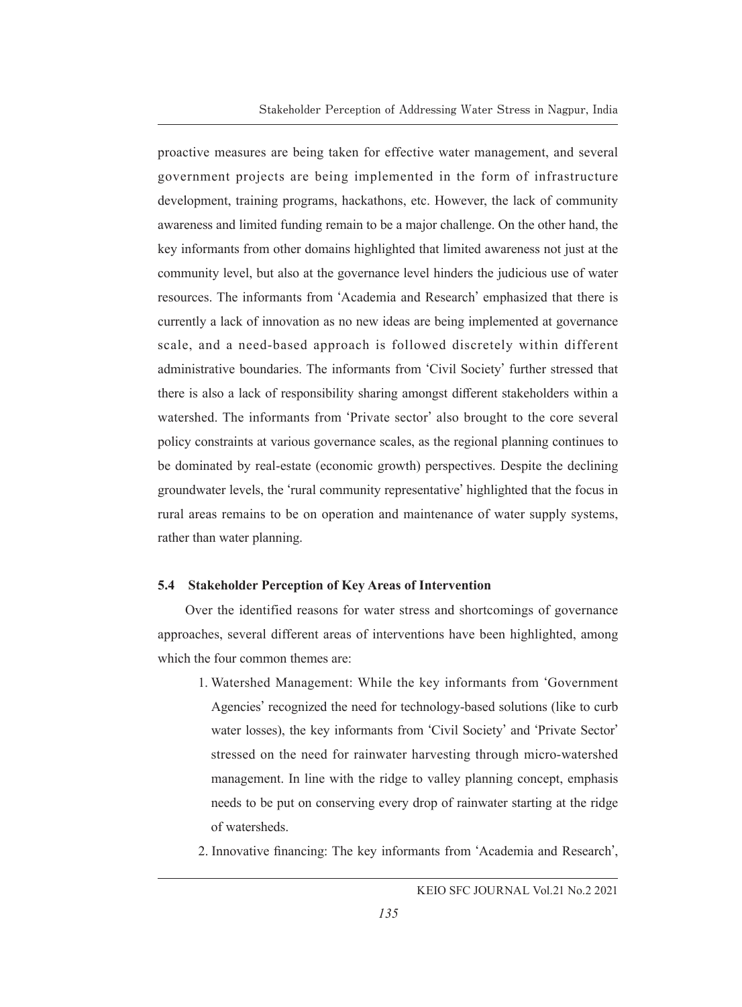proactive measures are being taken for effective water management, and several government projects are being implemented in the form of infrastructure development, training programs, hackathons, etc. However, the lack of community awareness and limited funding remain to be a major challenge. On the other hand, the key informants from other domains highlighted that limited awareness not just at the community level, but also at the governance level hinders the judicious use of water resources. The informants from **ʻ**Academia and Research**'** emphasized that there is currently a lack of innovation as no new ideas are being implemented at governance scale, and a need-based approach is followed discretely within different administrative boundaries. The informants from **ʻ**Civil Society**'** further stressed that there is also a lack of responsibility sharing amongst different stakeholders within a watershed. The informants from **ʻ**Private sector**'** also brought to the core several policy constraints at various governance scales, as the regional planning continues to be dominated by real-estate (economic growth) perspectives. Despite the declining groundwater levels, the **ʻ**rural community representative**'** highlighted that the focus in rural areas remains to be on operation and maintenance of water supply systems, rather than water planning.

### **5.4 Stakeholder Perception of Key Areas of Intervention**

Over the identified reasons for water stress and shortcomings of governance approaches, several different areas of interventions have been highlighted, among which the four common themes are:

- 1. Watershed Management: While the key informants from **ʻ**Government Agencies**'** recognized the need for technology-based solutions (like to curb water losses), the key informants from **ʻ**Civil Society**'** and **ʻ**Private Sector**'** stressed on the need for rainwater harvesting through micro-watershed management. In line with the ridge to valley planning concept, emphasis needs to be put on conserving every drop of rainwater starting at the ridge of watersheds.
- 2. Innovative financing: The key informants from **ʻ**Academia and Research**'**,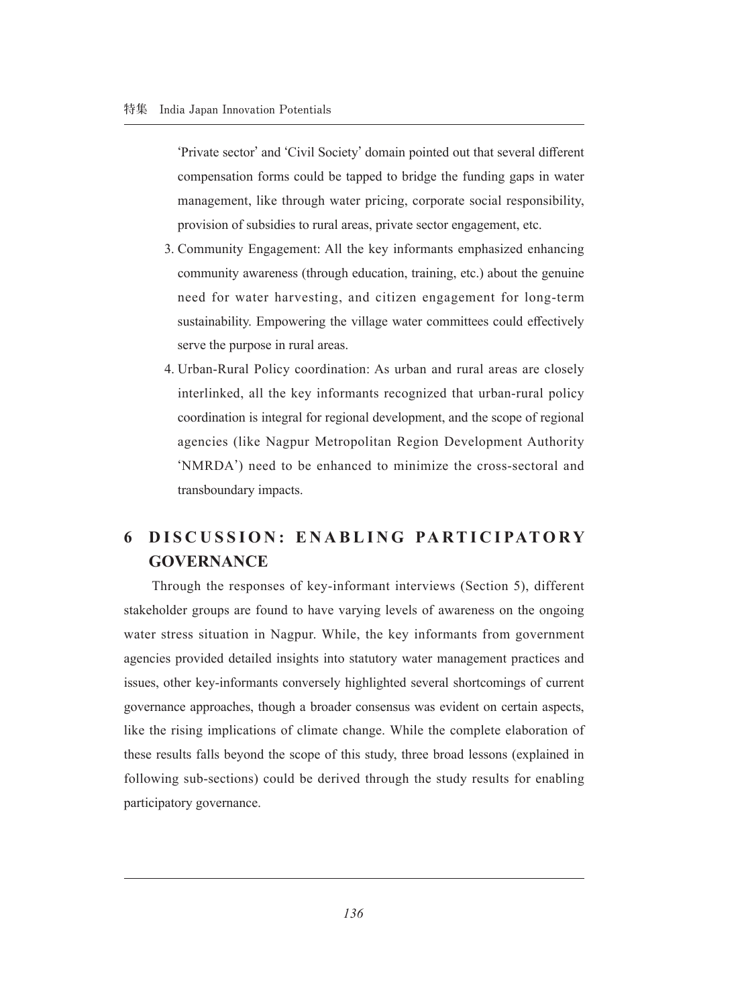**ʻ**Private sector**'** and **ʻ**Civil Society**'** domain pointed out that several different compensation forms could be tapped to bridge the funding gaps in water management, like through water pricing, corporate social responsibility, provision of subsidies to rural areas, private sector engagement, etc.

- 3. Community Engagement: All the key informants emphasized enhancing community awareness (through education, training, etc.) about the genuine need for water harvesting, and citizen engagement for long-term sustainability. Empowering the village water committees could effectively serve the purpose in rural areas.
- 4. Urban-Rural Policy coordination: As urban and rural areas are closely interlinked, all the key informants recognized that urban-rural policy coordination is integral for regional development, and the scope of regional agencies (like Nagpur Metropolitan Region Development Authority **ʻ**NMRDA**'**) need to be enhanced to minimize the cross-sectoral and transboundary impacts.

# **6 DISCUSSION: ENABLING PARTICIPATORY GOVERNANCE**

Through the responses of key-informant interviews (Section 5), different stakeholder groups are found to have varying levels of awareness on the ongoing water stress situation in Nagpur. While, the key informants from government agencies provided detailed insights into statutory water management practices and issues, other key-informants conversely highlighted several shortcomings of current governance approaches, though a broader consensus was evident on certain aspects, like the rising implications of climate change. While the complete elaboration of these results falls beyond the scope of this study, three broad lessons (explained in following sub-sections) could be derived through the study results for enabling participatory governance.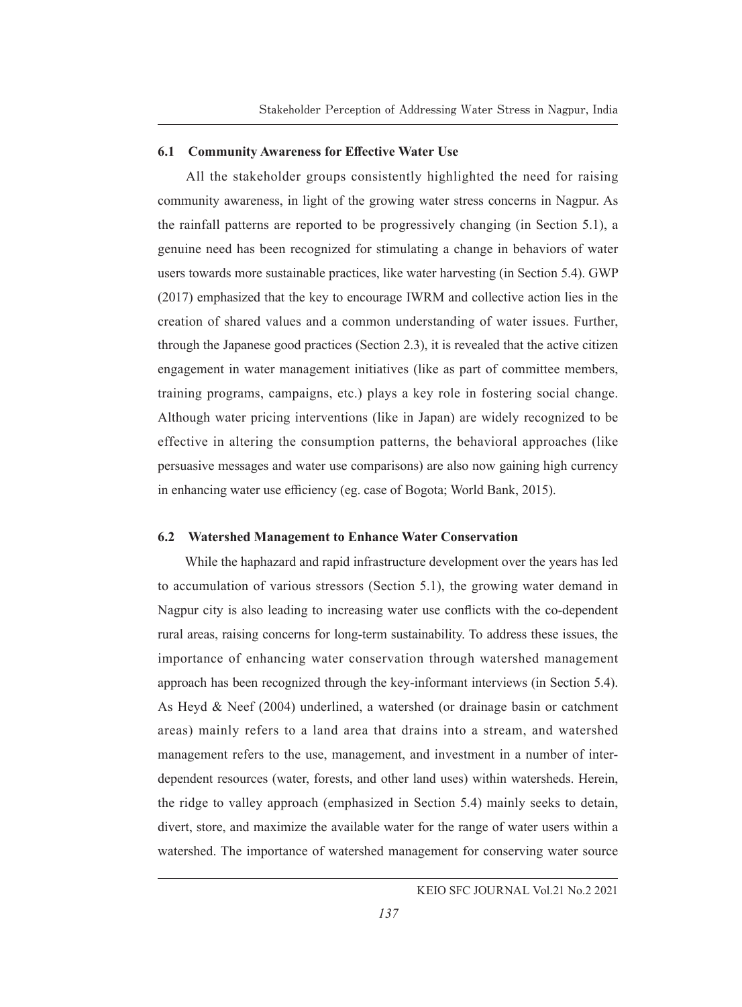### **6.1 Community Awareness for Effective Water Use**

All the stakeholder groups consistently highlighted the need for raising community awareness, in light of the growing water stress concerns in Nagpur. As the rainfall patterns are reported to be progressively changing (in Section 5.1), a genuine need has been recognized for stimulating a change in behaviors of water users towards more sustainable practices, like water harvesting (in Section 5.4). GWP (2017) emphasized that the key to encourage IWRM and collective action lies in the creation of shared values and a common understanding of water issues. Further, through the Japanese good practices (Section 2.3), it is revealed that the active citizen engagement in water management initiatives (like as part of committee members, training programs, campaigns, etc.) plays a key role in fostering social change. Although water pricing interventions (like in Japan) are widely recognized to be effective in altering the consumption patterns, the behavioral approaches (like persuasive messages and water use comparisons) are also now gaining high currency in enhancing water use efficiency (eg. case of Bogota; World Bank, 2015).

#### **6.2 Watershed Management to Enhance Water Conservation**

While the haphazard and rapid infrastructure development over the years has led to accumulation of various stressors (Section 5.1), the growing water demand in Nagpur city is also leading to increasing water use conflicts with the co-dependent rural areas, raising concerns for long-term sustainability. To address these issues, the importance of enhancing water conservation through watershed management approach has been recognized through the key-informant interviews (in Section 5.4). As Heyd & Neef (2004) underlined, a watershed (or drainage basin or catchment areas) mainly refers to a land area that drains into a stream, and watershed management refers to the use, management, and investment in a number of interdependent resources (water, forests, and other land uses) within watersheds. Herein, the ridge to valley approach (emphasized in Section 5.4) mainly seeks to detain, divert, store, and maximize the available water for the range of water users within a watershed. The importance of watershed management for conserving water source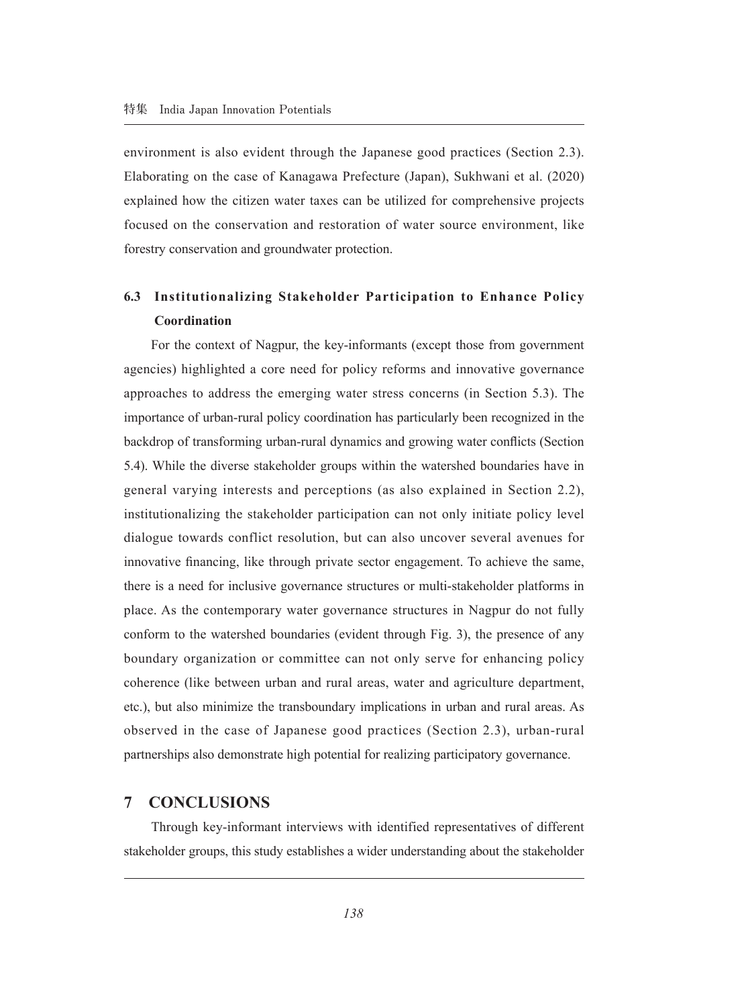environment is also evident through the Japanese good practices (Section 2.3). Elaborating on the case of Kanagawa Prefecture (Japan), Sukhwani et al. (2020) explained how the citizen water taxes can be utilized for comprehensive projects focused on the conservation and restoration of water source environment, like forestry conservation and groundwater protection.

# **6.3 Institutionalizing Stakeholder Participation to Enhance Policy Coordination**

For the context of Nagpur, the key-informants (except those from government agencies) highlighted a core need for policy reforms and innovative governance approaches to address the emerging water stress concerns (in Section 5.3). The importance of urban-rural policy coordination has particularly been recognized in the backdrop of transforming urban-rural dynamics and growing water conflicts (Section 5.4). While the diverse stakeholder groups within the watershed boundaries have in general varying interests and perceptions (as also explained in Section 2.2), institutionalizing the stakeholder participation can not only initiate policy level dialogue towards conflict resolution, but can also uncover several avenues for innovative financing, like through private sector engagement. To achieve the same, there is a need for inclusive governance structures or multi-stakeholder platforms in place. As the contemporary water governance structures in Nagpur do not fully conform to the watershed boundaries (evident through Fig. 3), the presence of any boundary organization or committee can not only serve for enhancing policy coherence (like between urban and rural areas, water and agriculture department, etc.), but also minimize the transboundary implications in urban and rural areas. As observed in the case of Japanese good practices (Section 2.3), urban-rural partnerships also demonstrate high potential for realizing participatory governance.

### **7 CONCLUSIONS**

Through key-informant interviews with identified representatives of different stakeholder groups, this study establishes a wider understanding about the stakeholder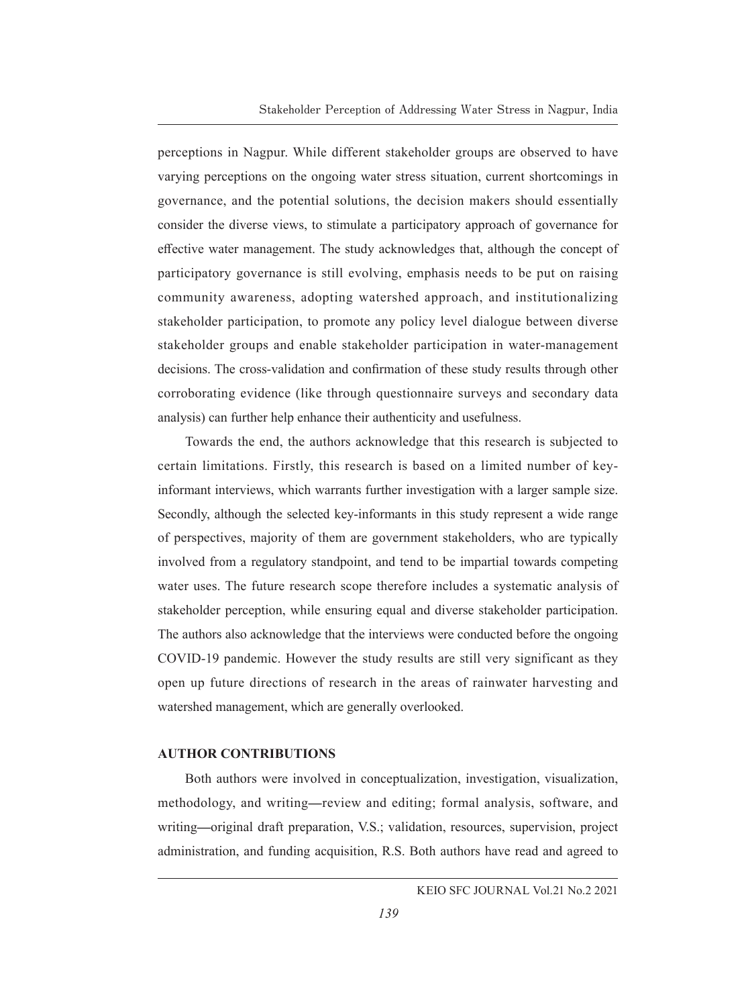perceptions in Nagpur. While different stakeholder groups are observed to have varying perceptions on the ongoing water stress situation, current shortcomings in governance, and the potential solutions, the decision makers should essentially consider the diverse views, to stimulate a participatory approach of governance for effective water management. The study acknowledges that, although the concept of participatory governance is still evolving, emphasis needs to be put on raising community awareness, adopting watershed approach, and institutionalizing stakeholder participation, to promote any policy level dialogue between diverse stakeholder groups and enable stakeholder participation in water-management decisions. The cross-validation and confirmation of these study results through other corroborating evidence (like through questionnaire surveys and secondary data analysis) can further help enhance their authenticity and usefulness.

Towards the end, the authors acknowledge that this research is subjected to certain limitations. Firstly, this research is based on a limited number of keyinformant interviews, which warrants further investigation with a larger sample size. Secondly, although the selected key-informants in this study represent a wide range of perspectives, majority of them are government stakeholders, who are typically involved from a regulatory standpoint, and tend to be impartial towards competing water uses. The future research scope therefore includes a systematic analysis of stakeholder perception, while ensuring equal and diverse stakeholder participation. The authors also acknowledge that the interviews were conducted before the ongoing COVID-19 pandemic. However the study results are still very significant as they open up future directions of research in the areas of rainwater harvesting and watershed management, which are generally overlooked.

#### **AUTHOR CONTRIBUTIONS**

Both authors were involved in conceptualization, investigation, visualization, methodology, and writing**—**review and editing; formal analysis, software, and writing**—**original draft preparation, V.S.; validation, resources, supervision, project administration, and funding acquisition, R.S. Both authors have read and agreed to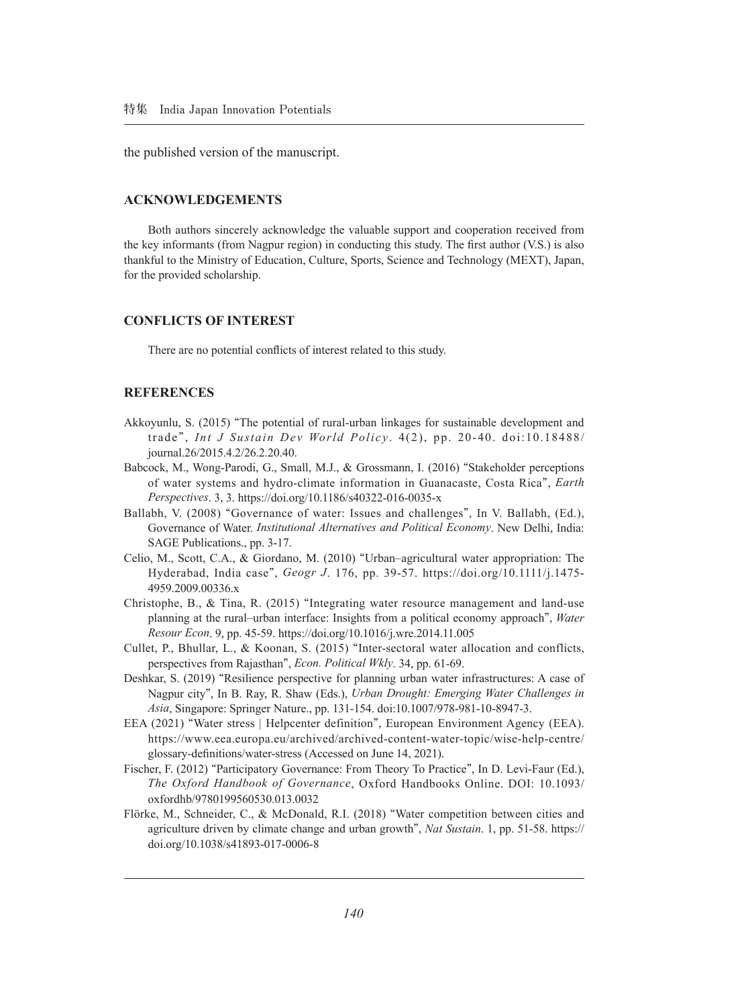the published version of the manuscript.

#### **ACKNOWLEDGEMENTS**

Both authors sincerely acknowledge the valuable support and cooperation received from the key informants (from Nagpur region) in conducting this study. The first author (V.S.) is also thankful to the Ministry of Education, Culture, Sports, Science and Technology (MEXT), Japan, for the provided scholarship.

#### **CONFLICTS OF INTEREST**

There are no potential conflicts of interest related to this study.

#### **REFERENCES**

- Akkoyunlu, S. (2015) **"**The potential of rural-urban linkages for sustainable development and trade**"**, *Int J Sustain Dev World Policy*. 4(2), pp. 20-40. doi:10.18488/ journal.26/2015.4.2/26.2.20.40.
- Babcock, M., Wong-Parodi, G., Small, M.J., & Grossmann, I. (2016) **"**Stakeholder perceptions of water systems and hydro-climate information in Guanacaste, Costa Rica**"**, *Earth Perspectives*. 3, 3. https://doi.org/10.1186/s40322-016-0035-x
- Ballabh, V. (2008) **"**Governance of water: Issues and challenges**"**, In V. Ballabh, (Ed.), Governance of Water. *Institutional Alternatives and Political Economy*. New Delhi, India: SAGE Publications., pp. 3-17.
- Celio, M., Scott, C.A., & Giordano, M. (2010) **"**Urban–agricultural water appropriation: The Hyderabad, India case**"**, *Geogr J*. 176, pp. 39-57. https://doi.org/10.1111/j.1475- 4959.2009.00336.x
- Christophe, B., & Tina, R. (2015) **"**Integrating water resource management and land-use planning at the rural–urban interface: Insights from a political economy approach**"**, *Water Resour Econ*. 9, pp. 45-59. https://doi.org/10.1016/j.wre.2014.11.005
- Cullet, P., Bhullar, L., & Koonan, S. (2015) **"**Inter-sectoral water allocation and conflicts, perspectives from Rajasthan**"**, *Econ. Political Wkly*. 34, pp. 61-69.
- Deshkar, S. (2019) **"**Resilience perspective for planning urban water infrastructures: A case of Nagpur city**"**, In B. Ray, R. Shaw (Eds.), *Urban Drought: Emerging Water Challenges in Asia*, Singapore: Springer Nature., pp. 131-154. doi:10.1007/978-981-10-8947-3.
- EEA (2021) **"**Water stress | Helpcenter definition**"**, European Environment Agency (EEA). https://www.eea.europa.eu/archived/archived-content-water-topic/wise-help-centre/ glossary-definitions/water-stress (Accessed on June 14, 2021).
- Fischer, F. (2012) **"**Participatory Governance: From Theory To Practice**"**, In D. Levi-Faur (Ed.), *The Oxford Handbook of Governance*, Oxford Handbooks Online. DOI: 10.1093/ oxfordhb/9780199560530.013.0032
- Flörke, M., Schneider, C., & McDonald, R.I. (2018) **"**Water competition between cities and agriculture driven by climate change and urban growth**"**, *Nat Sustain*. 1, pp. 51-58. https:// doi.org/10.1038/s41893-017-0006-8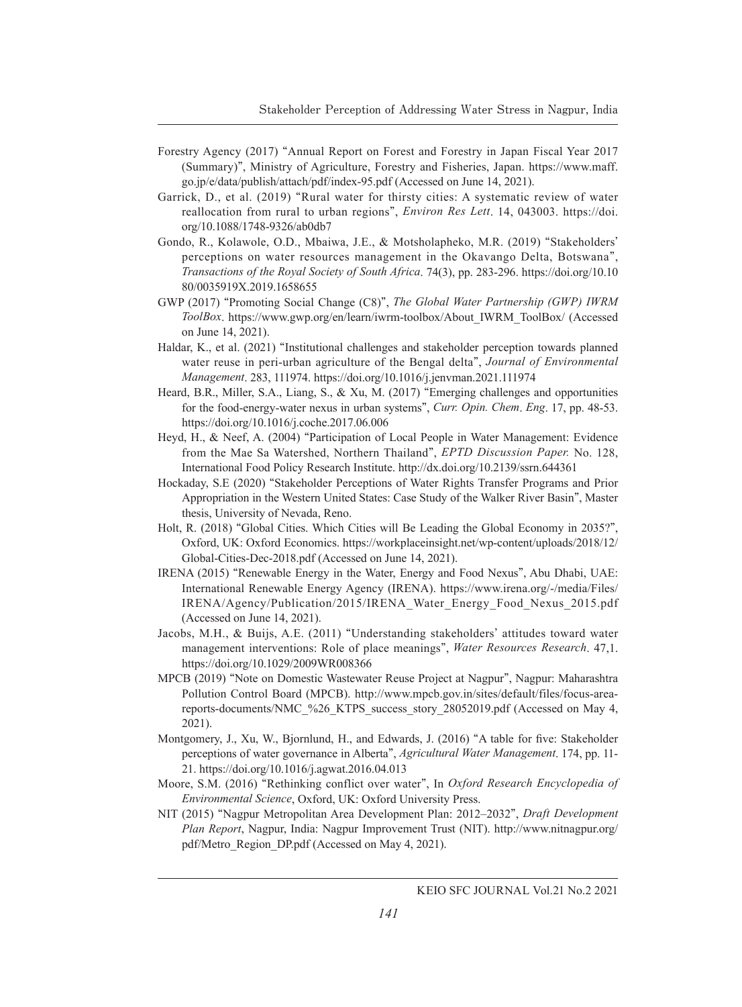- Forestry Agency (2017) **"**Annual Report on Forest and Forestry in Japan Fiscal Year 2017 (Summary)**"**, Ministry of Agriculture, Forestry and Fisheries, Japan. https://www.maff. go.jp/e/data/publish/attach/pdf/index-95.pdf (Accessed on June 14, 2021).
- Garrick, D., et al. (2019) **"**Rural water for thirsty cities: A systematic review of water reallocation from rural to urban regions**"**, *Environ Res Lett*. 14, 043003. https://doi. org/10.1088/1748-9326/ab0db7
- Gondo, R., Kolawole, O.D., Mbaiwa, J.E., & Motsholapheko, M.R. (2019) **"**Stakeholders**'** perceptions on water resources management in the Okavango Delta, Botswana**"**, *Transactions of the Royal Society of South Africa*. 74(3), pp. 283-296. https://doi.org/10.10 80/0035919X.2019.1658655
- GWP (2017) **"**Promoting Social Change (C8)**"**, *The Global Water Partnership (GWP) IWRM ToolBox*. https://www.gwp.org/en/learn/iwrm-toolbox/About\_IWRM\_ToolBox/ (Accessed on June 14, 2021).
- Haldar, K., et al. (2021) **"**Institutional challenges and stakeholder perception towards planned water reuse in peri-urban agriculture of the Bengal delta**"**, *Journal of Environmental Management*. 283, 111974. https://doi.org/10.1016/j.jenvman.2021.111974
- Heard, B.R., Miller, S.A., Liang, S., & Xu, M. (2017) **"**Emerging challenges and opportunities for the food-energy-water nexus in urban systems**"**, *Curr. Opin. Chem*. *Eng*. 17, pp. 48-53. https://doi.org/10.1016/j.coche.2017.06.006
- Heyd, H., & Neef, A. (2004) **"**Participation of Local People in Water Management: Evidence from the Mae Sa Watershed, Northern Thailand**"**, *EPTD Discussion Paper.* No. 128, International Food Policy Research Institute. http://dx.doi.org/10.2139/ssrn.644361
- Hockaday, S.E (2020) **"**Stakeholder Perceptions of Water Rights Transfer Programs and Prior Appropriation in the Western United States: Case Study of the Walker River Basin**"**, Master thesis, University of Nevada, Reno.
- Holt, R. (2018) **"**Global Cities. Which Cities will Be Leading the Global Economy in 2035?**"**, Oxford, UK: Oxford Economics. https://workplaceinsight.net/wp-content/uploads/2018/12/ Global-Cities-Dec-2018.pdf (Accessed on June 14, 2021).
- IRENA (2015) **"**Renewable Energy in the Water, Energy and Food Nexus**"**, Abu Dhabi, UAE: International Renewable Energy Agency (IRENA). https://www.irena.org/-/media/Files/ IRENA/Agency/Publication/2015/IRENA\_Water\_Energy\_Food\_Nexus\_2015.pdf (Accessed on June 14, 2021).
- Jacobs, M.H., & Buijs, A.E. (2011) **"**Understanding stakeholders**'** attitudes toward water management interventions: Role of place meanings**"**, *Water Resources Research*. 47,1. https://doi.org/10.1029/2009WR008366
- MPCB (2019) **"**Note on Domestic Wastewater Reuse Project at Nagpur**"**, Nagpur: Maharashtra Pollution Control Board (MPCB). http://www.mpcb.gov.in/sites/default/files/focus-areareports-documents/NMC\_%26\_KTPS\_success\_story\_28052019.pdf (Accessed on May 4, 2021).
- Montgomery, J., Xu, W., Bjornlund, H., and Edwards, J. (2016) **"**A table for five: Stakeholder perceptions of water governance in Alberta**"**, *Agricultural Water Management*. 174, pp. 11- 21. https://doi.org/10.1016/j.agwat.2016.04.013
- Moore, S.M. (2016) **"**Rethinking conflict over water**"**, In *Oxford Research Encyclopedia of Environmental Science*, Oxford, UK: Oxford University Press.
- NIT (2015) **"**Nagpur Metropolitan Area Development Plan: 2012–2032**"**, *Draft Development Plan Report*, Nagpur, India: Nagpur Improvement Trust (NIT). http://www.nitnagpur.org/ pdf/Metro\_Region\_DP.pdf (Accessed on May 4, 2021).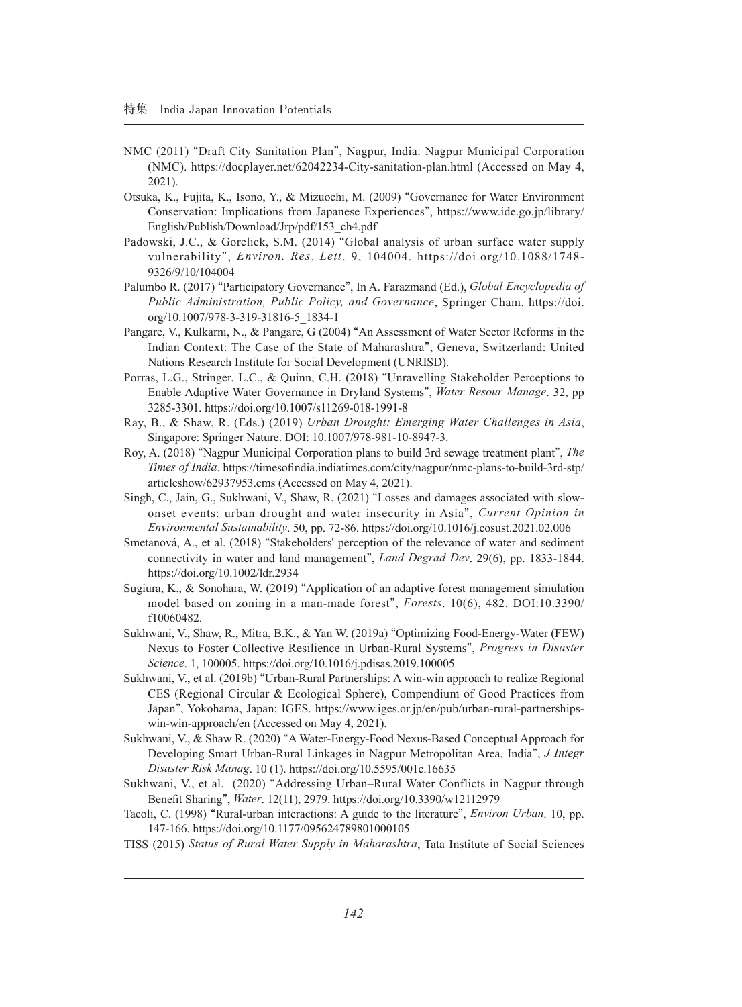- NMC (2011) **"**Draft City Sanitation Plan**"**, Nagpur, India: Nagpur Municipal Corporation (NMC). https://docplayer.net/62042234-City-sanitation-plan.html (Accessed on May 4, 2021).
- Otsuka, K., Fujita, K., Isono, Y., & Mizuochi, M. (2009) **"**Governance for Water Environment Conservation: Implications from Japanese Experiences**"**, https://www.ide.go.jp/library/ English/Publish/Download/Jrp/pdf/153\_ch4.pdf
- Padowski, J.C., & Gorelick, S.M. (2014) **"**Global analysis of urban surface water supply vulnerability**"**, *Environ. Res*. *Lett*. 9, 104004. https://doi.org/10.1088/1748- 9326/9/10/104004
- Palumbo R. (2017) **"**Participatory Governance**"**, In A. Farazmand (Ed.), *Global Encyclopedia of Public Administration, Public Policy, and Governance*, Springer Cham. https://doi. org/10.1007/978-3-319-31816-5\_1834-1
- Pangare, V., Kulkarni, N., & Pangare, G (2004) **"**An Assessment of Water Sector Reforms in the Indian Context: The Case of the State of Maharashtra**"**, Geneva, Switzerland: United Nations Research Institute for Social Development (UNRISD).
- Porras, L.G., Stringer, L.C., & Quinn, C.H. (2018) **"**Unravelling Stakeholder Perceptions to Enable Adaptive Water Governance in Dryland Systems**"**, *Water Resour Manage*. 32, pp 3285-3301. https://doi.org/10.1007/s11269-018-1991-8
- Ray, B., & Shaw, R. (Eds.) (2019) *Urban Drought: Emerging Water Challenges in Asia*, Singapore: Springer Nature. DOI: 10.1007/978-981-10-8947-3.
- Roy, A. (2018) **"**Nagpur Municipal Corporation plans to build 3rd sewage treatment plant**"**, *The Times of India*. https://timesofindia.indiatimes.com/city/nagpur/nmc-plans-to-build-3rd-stp/ articleshow/62937953.cms (Accessed on May 4, 2021).
- Singh, C., Jain, G., Sukhwani, V., Shaw, R. (2021) **"**Losses and damages associated with slowonset events: urban drought and water insecurity in Asia**"**, *Current Opinion in Environmental Sustainability*. 50, pp. 72-86. https://doi.org/10.1016/j.cosust.2021.02.006
- Smetanová, A., et al. (2018) **"**Stakeholders' perception of the relevance of water and sediment connectivity in water and land management**"**, *Land Degrad Dev*. 29(6), pp. 1833-1844. https://doi.org/10.1002/ldr.2934
- Sugiura, K., & Sonohara, W. (2019) **"**Application of an adaptive forest management simulation model based on zoning in a man-made forest**"**, *Forests*. 10(6), 482. DOI:10.3390/ f10060482.
- Sukhwani, V., Shaw, R., Mitra, B.K., & Yan W. (2019a) **"**Optimizing Food-Energy-Water (FEW) Nexus to Foster Collective Resilience in Urban-Rural Systems**"**, *Progress in Disaster Science*. 1, 100005. https://doi.org/10.1016/j.pdisas.2019.100005
- Sukhwani, V., et al. (2019b) **"**Urban-Rural Partnerships: A win-win approach to realize Regional CES (Regional Circular & Ecological Sphere), Compendium of Good Practices from Japan**"**, Yokohama, Japan: IGES. https://www.iges.or.jp/en/pub/urban-rural-partnershipswin-win-approach/en (Accessed on May 4, 2021).
- Sukhwani, V., & Shaw R. (2020) **"**A Water-Energy-Food Nexus-Based Conceptual Approach for Developing Smart Urban-Rural Linkages in Nagpur Metropolitan Area, India**"**, *J Integr Disaster Risk Manag*. 10 (1). https://doi.org/10.5595/001c.16635
- Sukhwani, V., et al. (2020) **"**Addressing Urban–Rural Water Conflicts in Nagpur through Benefit Sharing**"**, *Water*. 12(11), 2979. https://doi.org/10.3390/w12112979
- Tacoli, C. (1998) **"**Rural-urban interactions: A guide to the literature**"**, *Environ Urban*. 10, pp. 147-166. https://doi.org/10.1177/095624789801000105
- TISS (2015) *Status of Rural Water Supply in Maharashtra*, Tata Institute of Social Sciences